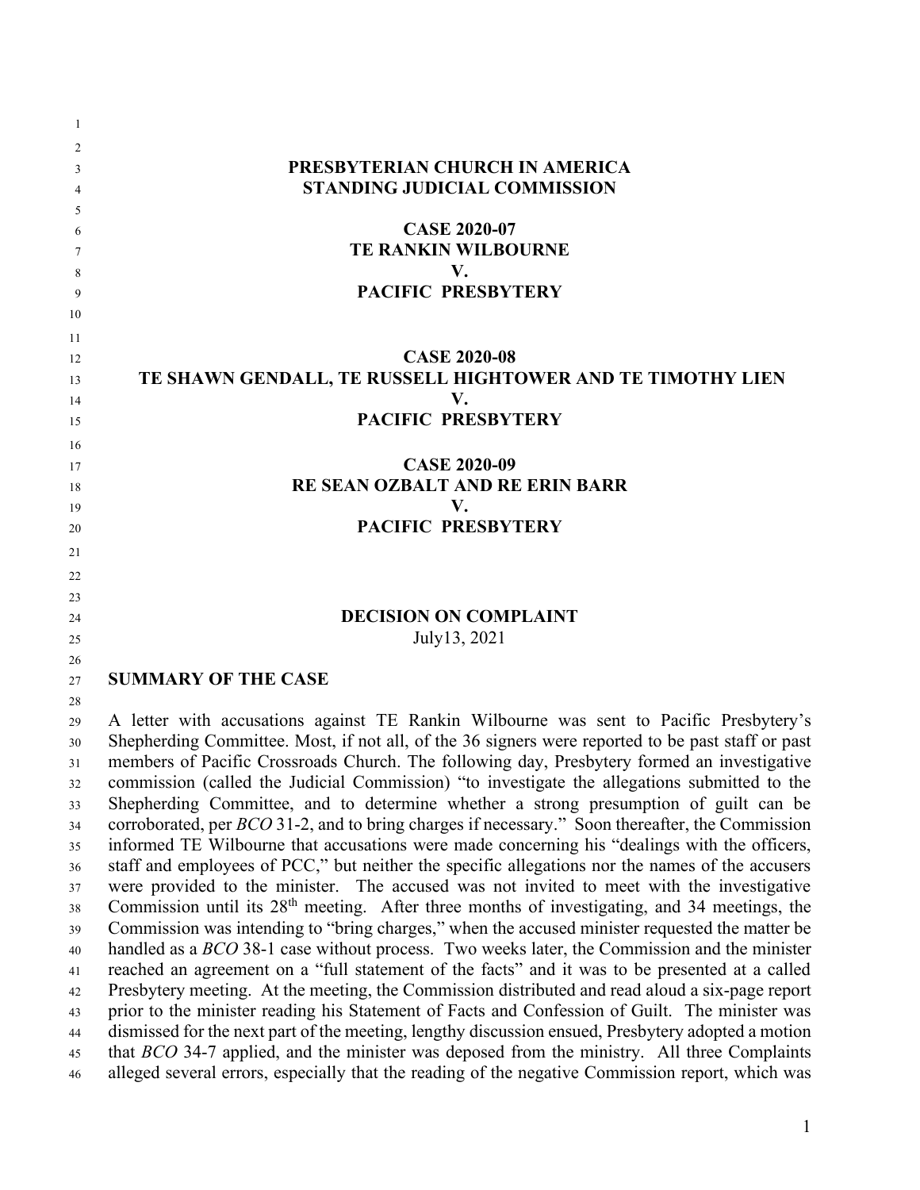| -1       |                                                                                                          |
|----------|----------------------------------------------------------------------------------------------------------|
| 2        |                                                                                                          |
| 3        | PRESBYTERIAN CHURCH IN AMERICA                                                                           |
| 4        | <b>STANDING JUDICIAL COMMISSION</b>                                                                      |
| 5        |                                                                                                          |
| 6        | <b>CASE 2020-07</b>                                                                                      |
| 7        | <b>TE RANKIN WILBOURNE</b>                                                                               |
| 8        | V.                                                                                                       |
| 9        | <b>PACIFIC PRESBYTERY</b>                                                                                |
| 10       |                                                                                                          |
| 11       |                                                                                                          |
| 12       | <b>CASE 2020-08</b>                                                                                      |
| 13       | TE SHAWN GENDALL, TE RUSSELL HIGHTOWER AND TE TIMOTHY LIEN                                               |
| 14       | V.                                                                                                       |
| 15       | PACIFIC PRESBYTERY                                                                                       |
| 16       |                                                                                                          |
| 17       | <b>CASE 2020-09</b>                                                                                      |
| 18       | RE SEAN OZBALT AND RE ERIN BARR                                                                          |
| 19       | V.                                                                                                       |
| 20       | <b>PACIFIC PRESBYTERY</b>                                                                                |
| 21       |                                                                                                          |
| 22       |                                                                                                          |
| 23       |                                                                                                          |
| 24       | <b>DECISION ON COMPLAINT</b>                                                                             |
| 25       | July13, 2021                                                                                             |
| 26       |                                                                                                          |
| 27       | <b>SUMMARY OF THE CASE</b>                                                                               |
| 28       | A letter with accusations against TE Rankin Wilbourne was sent to Pacific Presbytery's                   |
| 29       | Shepherding Committee. Most, if not all, of the 36 signers were reported to be past staff or past        |
| 30<br>31 | members of Pacific Crossroads Church. The following day, Presbytery formed an investigative              |
| 32       | commission (called the Judicial Commission) "to investigate the allegations submitted to the             |
| 33       | Shepherding Committee, and to determine whether a strong presumption of guilt can be                     |
| 34       | corroborated, per <i>BCO</i> 31-2, and to bring charges if necessary." Soon thereafter, the Commission   |
| 35       | informed TE Wilbourne that accusations were made concerning his "dealings with the officers,             |
| 36       | staff and employees of PCC," but neither the specific allegations nor the names of the accusers          |
| 37       | were provided to the minister. The accused was not invited to meet with the investigative                |
| 38       | Commission until its 28 <sup>th</sup> meeting. After three months of investigating, and 34 meetings, the |
| 39       | Commission was intending to "bring charges," when the accused minister requested the matter be           |
| 40       | handled as a BCO 38-1 case without process. Two weeks later, the Commission and the minister             |
| 41       | reached an agreement on a "full statement of the facts" and it was to be presented at a called           |
| 42       | Presbytery meeting. At the meeting, the Commission distributed and read aloud a six-page report          |
| 43       | prior to the minister reading his Statement of Facts and Confession of Guilt. The minister was           |
| 44       | dismissed for the next part of the meeting, lengthy discussion ensued, Presbytery adopted a motion       |
| 45       | that BCO 34-7 applied, and the minister was deposed from the ministry. All three Complaints              |
| 46       | alleged several errors, especially that the reading of the negative Commission report, which was         |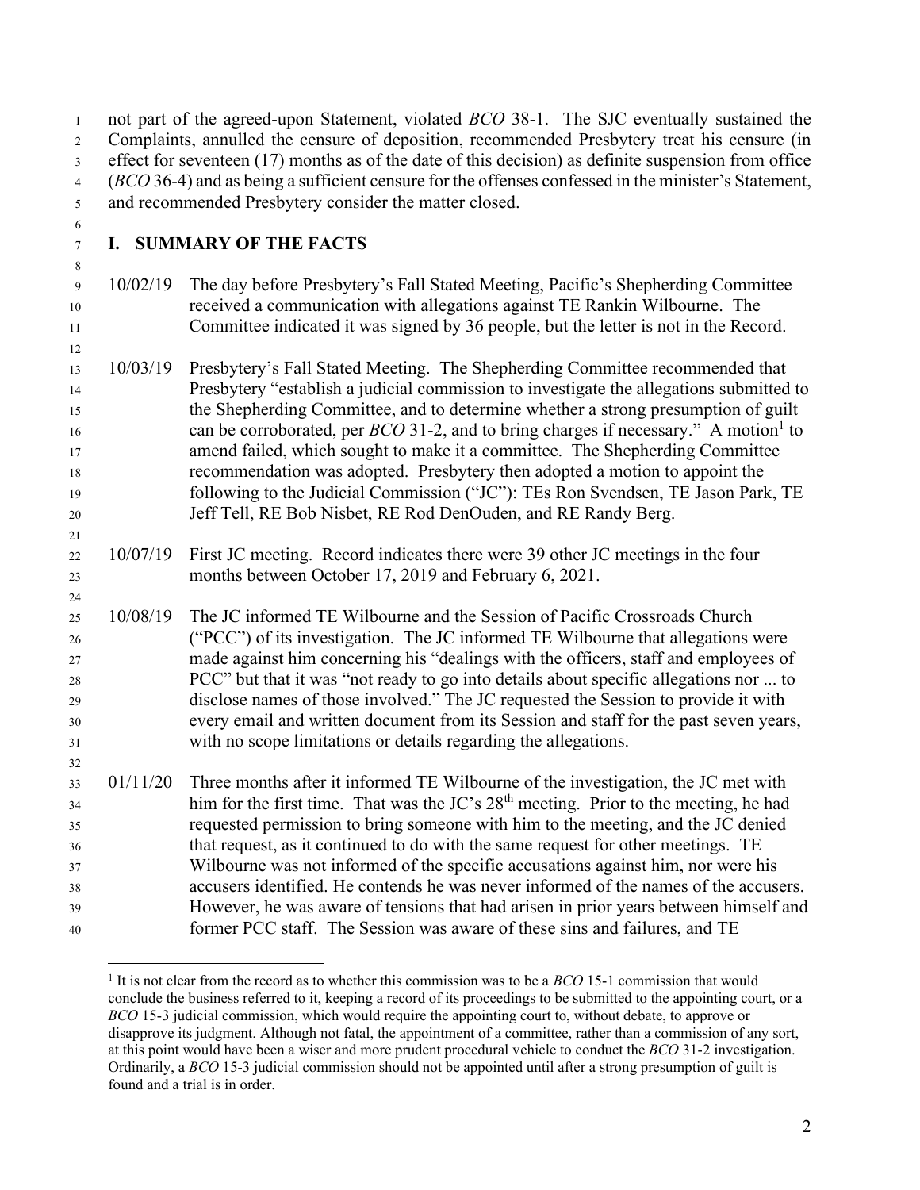| $\mathbf{1}$<br>$\sqrt{2}$                  | not part of the agreed-upon Statement, violated <i>BCO</i> 38-1. The SJC eventually sustained the<br>Complaints, annulled the censure of deposition, recommended Presbytery treat his censure (in |                                                                                                                                                                                                                                                              |  |
|---------------------------------------------|---------------------------------------------------------------------------------------------------------------------------------------------------------------------------------------------------|--------------------------------------------------------------------------------------------------------------------------------------------------------------------------------------------------------------------------------------------------------------|--|
| 3                                           |                                                                                                                                                                                                   | effect for seventeen $(17)$ months as of the date of this decision) as definite suspension from office                                                                                                                                                       |  |
| $\overline{4}$                              |                                                                                                                                                                                                   | (BCO 36-4) and as being a sufficient censure for the offenses confessed in the minister's Statement,                                                                                                                                                         |  |
| 5                                           |                                                                                                                                                                                                   | and recommended Presbytery consider the matter closed.                                                                                                                                                                                                       |  |
| 6<br>$\tau$                                 |                                                                                                                                                                                                   | I. SUMMARY OF THE FACTS                                                                                                                                                                                                                                      |  |
| $\,8\,$<br>$\overline{9}$<br>10<br>11<br>12 | 10/02/19                                                                                                                                                                                          | The day before Presbytery's Fall Stated Meeting, Pacific's Shepherding Committee<br>received a communication with allegations against TE Rankin Wilbourne. The<br>Committee indicated it was signed by 36 people, but the letter is not in the Record.       |  |
| 13<br>14                                    | 10/03/19                                                                                                                                                                                          | Presbytery's Fall Stated Meeting. The Shepherding Committee recommended that<br>Presbytery "establish a judicial commission to investigate the allegations submitted to<br>the Shepherding Committee, and to determine whether a strong presumption of guilt |  |
| 15<br>16                                    |                                                                                                                                                                                                   | can be corroborated, per $BCO$ 31-2, and to bring charges if necessary." A motion to                                                                                                                                                                         |  |
| 17                                          |                                                                                                                                                                                                   | amend failed, which sought to make it a committee. The Shepherding Committee                                                                                                                                                                                 |  |
| 18                                          |                                                                                                                                                                                                   | recommendation was adopted. Presbytery then adopted a motion to appoint the                                                                                                                                                                                  |  |
| 19                                          |                                                                                                                                                                                                   | following to the Judicial Commission ("JC"): TEs Ron Svendsen, TE Jason Park, TE                                                                                                                                                                             |  |
| $20\,$                                      |                                                                                                                                                                                                   | Jeff Tell, RE Bob Nisbet, RE Rod DenOuden, and RE Randy Berg.                                                                                                                                                                                                |  |
| $21\,$                                      |                                                                                                                                                                                                   |                                                                                                                                                                                                                                                              |  |
| $22\,$                                      | 10/07/19                                                                                                                                                                                          | First JC meeting. Record indicates there were 39 other JC meetings in the four                                                                                                                                                                               |  |
| $23\,$                                      |                                                                                                                                                                                                   | months between October 17, 2019 and February 6, 2021.                                                                                                                                                                                                        |  |
| $\sqrt{24}$                                 |                                                                                                                                                                                                   |                                                                                                                                                                                                                                                              |  |
| 25                                          | 10/08/19                                                                                                                                                                                          | The JC informed TE Wilbourne and the Session of Pacific Crossroads Church                                                                                                                                                                                    |  |
| $26\,$                                      |                                                                                                                                                                                                   | ("PCC") of its investigation. The JC informed TE Wilbourne that allegations were                                                                                                                                                                             |  |
| $27\,$                                      |                                                                                                                                                                                                   | made against him concerning his "dealings with the officers, staff and employees of<br>PCC" but that it was "not ready to go into details about specific allegations nor  to                                                                                 |  |
| $28\,$<br>29                                |                                                                                                                                                                                                   | disclose names of those involved." The JC requested the Session to provide it with                                                                                                                                                                           |  |
| $30\,$                                      |                                                                                                                                                                                                   | every email and written document from its Session and staff for the past seven years,                                                                                                                                                                        |  |
| 31                                          |                                                                                                                                                                                                   | with no scope limitations or details regarding the allegations.                                                                                                                                                                                              |  |
| 32                                          |                                                                                                                                                                                                   |                                                                                                                                                                                                                                                              |  |
| 33                                          |                                                                                                                                                                                                   | 01/11/20 Three months after it informed TE Wilbourne of the investigation, the JC met with                                                                                                                                                                   |  |
| 34                                          |                                                                                                                                                                                                   | him for the first time. That was the JC's 28 <sup>th</sup> meeting. Prior to the meeting, he had                                                                                                                                                             |  |
| 35                                          |                                                                                                                                                                                                   | requested permission to bring someone with him to the meeting, and the JC denied                                                                                                                                                                             |  |
| 36                                          |                                                                                                                                                                                                   | that request, as it continued to do with the same request for other meetings. TE                                                                                                                                                                             |  |
| 37                                          |                                                                                                                                                                                                   | Wilbourne was not informed of the specific accusations against him, nor were his                                                                                                                                                                             |  |
| 38                                          |                                                                                                                                                                                                   | accusers identified. He contends he was never informed of the names of the accusers.                                                                                                                                                                         |  |
| 39                                          |                                                                                                                                                                                                   | However, he was aware of tensions that had arisen in prior years between himself and                                                                                                                                                                         |  |
| 40                                          |                                                                                                                                                                                                   | former PCC staff. The Session was aware of these sins and failures, and TE                                                                                                                                                                                   |  |

<sup>&</sup>lt;sup>1</sup> It is not clear from the record as to whether this commission was to be a *BCO* 15-1 commission that would conclude the business referred to it, keeping a record of its proceedings to be submitted to the appointing court, or a *BCO* 15-3 judicial commission, which would require the appointing court to, without debate, to approve or disapprove its judgment. Although not fatal, the appointment of a committee, rather than a commission of any sort, at this point would have been a wiser and more prudent procedural vehicle to conduct the *BCO* 31-2 investigation. Ordinarily, a *BCO* 15-3 judicial commission should not be appointed until after a strong presumption of guilt is found and a trial is in order.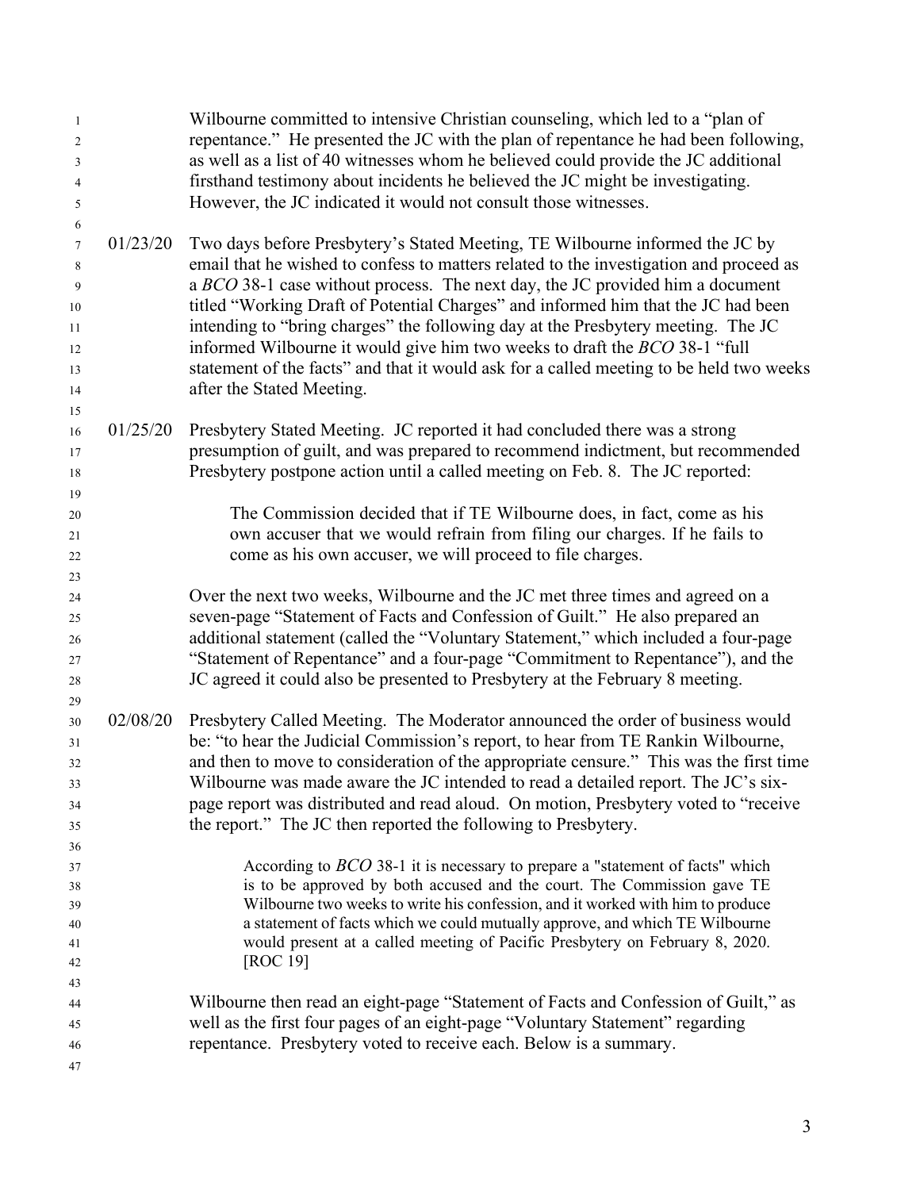| $\mathbf{1}$<br>$\overline{2}$<br>3<br>$\overline{4}$<br>5<br>6 |          | Wilbourne committed to intensive Christian counseling, which led to a "plan of<br>repentance." He presented the JC with the plan of repentance he had been following,<br>as well as a list of 40 witnesses whom he believed could provide the JC additional<br>firsthand testimony about incidents he believed the JC might be investigating.<br>However, the JC indicated it would not consult those witnesses. |
|-----------------------------------------------------------------|----------|------------------------------------------------------------------------------------------------------------------------------------------------------------------------------------------------------------------------------------------------------------------------------------------------------------------------------------------------------------------------------------------------------------------|
| $\tau$                                                          | 01/23/20 | Two days before Presbytery's Stated Meeting, TE Wilbourne informed the JC by                                                                                                                                                                                                                                                                                                                                     |
| 8                                                               |          | email that he wished to confess to matters related to the investigation and proceed as                                                                                                                                                                                                                                                                                                                           |
| 9                                                               |          | a BCO 38-1 case without process. The next day, the JC provided him a document                                                                                                                                                                                                                                                                                                                                    |
| 10                                                              |          | titled "Working Draft of Potential Charges" and informed him that the JC had been                                                                                                                                                                                                                                                                                                                                |
| 11                                                              |          | intending to "bring charges" the following day at the Presbytery meeting. The JC                                                                                                                                                                                                                                                                                                                                 |
| 12                                                              |          | informed Wilbourne it would give him two weeks to draft the BCO 38-1 "full                                                                                                                                                                                                                                                                                                                                       |
| 13                                                              |          | statement of the facts" and that it would ask for a called meeting to be held two weeks                                                                                                                                                                                                                                                                                                                          |
| 14<br>15                                                        |          | after the Stated Meeting.                                                                                                                                                                                                                                                                                                                                                                                        |
| 16                                                              | 01/25/20 | Presbytery Stated Meeting. JC reported it had concluded there was a strong                                                                                                                                                                                                                                                                                                                                       |
| 17                                                              |          | presumption of guilt, and was prepared to recommend indictment, but recommended                                                                                                                                                                                                                                                                                                                                  |
| 18                                                              |          | Presbytery postpone action until a called meeting on Feb. 8. The JC reported:                                                                                                                                                                                                                                                                                                                                    |
| 19                                                              |          |                                                                                                                                                                                                                                                                                                                                                                                                                  |
| 20                                                              |          | The Commission decided that if TE Wilbourne does, in fact, come as his                                                                                                                                                                                                                                                                                                                                           |
| 21                                                              |          | own accuser that we would refrain from filing our charges. If he fails to                                                                                                                                                                                                                                                                                                                                        |
| 22                                                              |          | come as his own accuser, we will proceed to file charges.                                                                                                                                                                                                                                                                                                                                                        |
| 23                                                              |          | Over the next two weeks, Wilbourne and the JC met three times and agreed on a                                                                                                                                                                                                                                                                                                                                    |
| 24<br>25                                                        |          | seven-page "Statement of Facts and Confession of Guilt." He also prepared an                                                                                                                                                                                                                                                                                                                                     |
| 26                                                              |          | additional statement (called the "Voluntary Statement," which included a four-page                                                                                                                                                                                                                                                                                                                               |
| 27                                                              |          | "Statement of Repentance" and a four-page "Commitment to Repentance"), and the                                                                                                                                                                                                                                                                                                                                   |
| 28                                                              |          | JC agreed it could also be presented to Presbytery at the February 8 meeting.                                                                                                                                                                                                                                                                                                                                    |
| 29                                                              |          |                                                                                                                                                                                                                                                                                                                                                                                                                  |
| 30                                                              | 02/08/20 | Presbytery Called Meeting. The Moderator announced the order of business would                                                                                                                                                                                                                                                                                                                                   |
| 31                                                              |          | be: "to hear the Judicial Commission's report, to hear from TE Rankin Wilbourne,                                                                                                                                                                                                                                                                                                                                 |
| 32                                                              |          | and then to move to consideration of the appropriate censure." This was the first time                                                                                                                                                                                                                                                                                                                           |
| 33                                                              |          | Wilbourne was made aware the JC intended to read a detailed report. The JC's six-                                                                                                                                                                                                                                                                                                                                |
| 34                                                              |          | page report was distributed and read aloud. On motion, Presbytery voted to "receive<br>the report." The JC then reported the following to Presbytery.                                                                                                                                                                                                                                                            |
| 35<br>36                                                        |          |                                                                                                                                                                                                                                                                                                                                                                                                                  |
| 37                                                              |          | According to $BCO$ 38-1 it is necessary to prepare a "statement of facts" which                                                                                                                                                                                                                                                                                                                                  |
| 38                                                              |          | is to be approved by both accused and the court. The Commission gave TE                                                                                                                                                                                                                                                                                                                                          |
| 39                                                              |          | Wilbourne two weeks to write his confession, and it worked with him to produce                                                                                                                                                                                                                                                                                                                                   |
| 40                                                              |          | a statement of facts which we could mutually approve, and which TE Wilbourne                                                                                                                                                                                                                                                                                                                                     |
| 41                                                              |          | would present at a called meeting of Pacific Presbytery on February 8, 2020.<br>[ROC 19]                                                                                                                                                                                                                                                                                                                         |
| 42<br>43                                                        |          |                                                                                                                                                                                                                                                                                                                                                                                                                  |
| 44                                                              |          | Wilbourne then read an eight-page "Statement of Facts and Confession of Guilt," as                                                                                                                                                                                                                                                                                                                               |
| 45                                                              |          | well as the first four pages of an eight-page "Voluntary Statement" regarding                                                                                                                                                                                                                                                                                                                                    |
| 46                                                              |          | repentance. Presbytery voted to receive each. Below is a summary.                                                                                                                                                                                                                                                                                                                                                |
| 47                                                              |          |                                                                                                                                                                                                                                                                                                                                                                                                                  |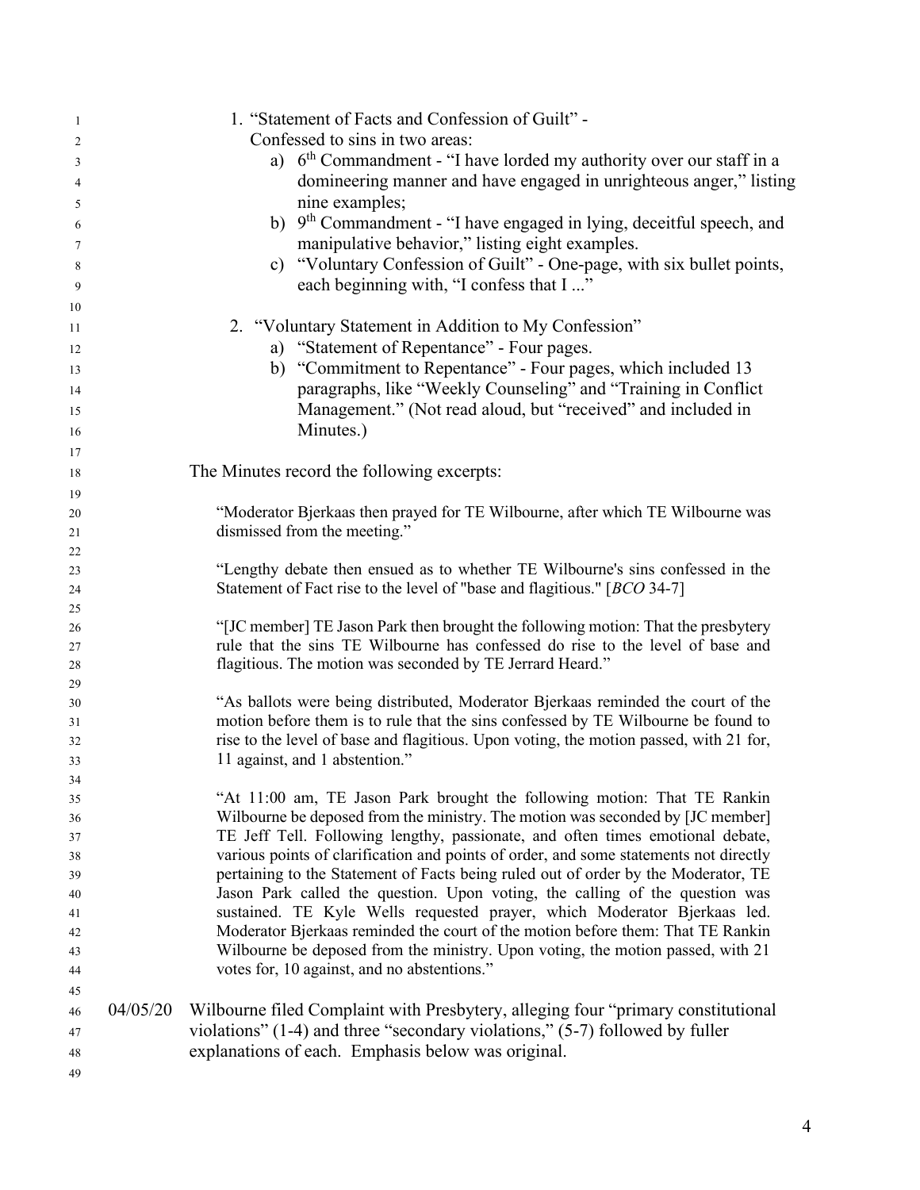| -1       |          | 1. "Statement of Facts and Confession of Guilt" -                                      |
|----------|----------|----------------------------------------------------------------------------------------|
| 2        |          | Confessed to sins in two areas:                                                        |
| 3        |          | a) $6th$ Commandment - "I have lorded my authority over our staff in a                 |
| 4        |          | domineering manner and have engaged in unrighteous anger," listing                     |
| 5        |          | nine examples;                                                                         |
| 6        |          | b) 9 <sup>th</sup> Commandment - "I have engaged in lying, deceitful speech, and       |
| 7        |          | manipulative behavior," listing eight examples.                                        |
| 8        |          | c) "Voluntary Confession of Guilt" - One-page, with six bullet points,                 |
|          |          | each beginning with, "I confess that I "                                               |
| 9        |          |                                                                                        |
| 10       |          | 2. "Voluntary Statement in Addition to My Confession"                                  |
| 11       |          |                                                                                        |
| 12       |          | a) "Statement of Repentance" - Four pages.                                             |
| 13       |          | b) "Commitment to Repentance" - Four pages, which included 13                          |
| 14       |          | paragraphs, like "Weekly Counseling" and "Training in Conflict                         |
| 15       |          | Management." (Not read aloud, but "received" and included in                           |
| 16       |          | Minutes.)                                                                              |
| 17       |          |                                                                                        |
| 18       |          | The Minutes record the following excerpts:                                             |
| 19       |          |                                                                                        |
| 20       |          | "Moderator Bjerkaas then prayed for TE Wilbourne, after which TE Wilbourne was         |
| 21       |          | dismissed from the meeting."                                                           |
| 22       |          |                                                                                        |
| 23       |          | "Lengthy debate then ensued as to whether TE Wilbourne's sins confessed in the         |
| 24       |          | Statement of Fact rise to the level of "base and flagitious." [BCO 34-7]               |
| 25       |          |                                                                                        |
| 26       |          | "[JC member] TE Jason Park then brought the following motion: That the presbytery      |
| 27       |          | rule that the sins TE Wilbourne has confessed do rise to the level of base and         |
| 28       |          | flagitious. The motion was seconded by TE Jerrard Heard."                              |
| 29<br>30 |          | "As ballots were being distributed, Moderator Bjerkaas reminded the court of the       |
| 31       |          | motion before them is to rule that the sins confessed by TE Wilbourne be found to      |
| 32       |          | rise to the level of base and flagitious. Upon voting, the motion passed, with 21 for, |
| 33       |          | 11 against, and 1 abstention."                                                         |
| 34       |          |                                                                                        |
| 35       |          | "At 11:00 am, TE Jason Park brought the following motion: That TE Rankin               |
| 36       |          | Wilbourne be deposed from the ministry. The motion was seconded by [JC member]         |
| 37       |          | TE Jeff Tell. Following lengthy, passionate, and often times emotional debate,         |
| 38       |          | various points of clarification and points of order, and some statements not directly  |
| 39       |          | pertaining to the Statement of Facts being ruled out of order by the Moderator, TE     |
| 40       |          | Jason Park called the question. Upon voting, the calling of the question was           |
| 41       |          | sustained. TE Kyle Wells requested prayer, which Moderator Bjerkaas led.               |
| 42       |          | Moderator Bjerkaas reminded the court of the motion before them: That TE Rankin        |
| 43       |          | Wilbourne be deposed from the ministry. Upon voting, the motion passed, with 21        |
| 44       |          | votes for, 10 against, and no abstentions."                                            |
| 45       |          |                                                                                        |
| 46       | 04/05/20 | Wilbourne filed Complaint with Presbytery, alleging four "primary constitutional       |
| 47       |          | violations" $(1-4)$ and three "secondary violations," $(5-7)$ followed by fuller       |
| 48       |          | explanations of each. Emphasis below was original.                                     |
| 49       |          |                                                                                        |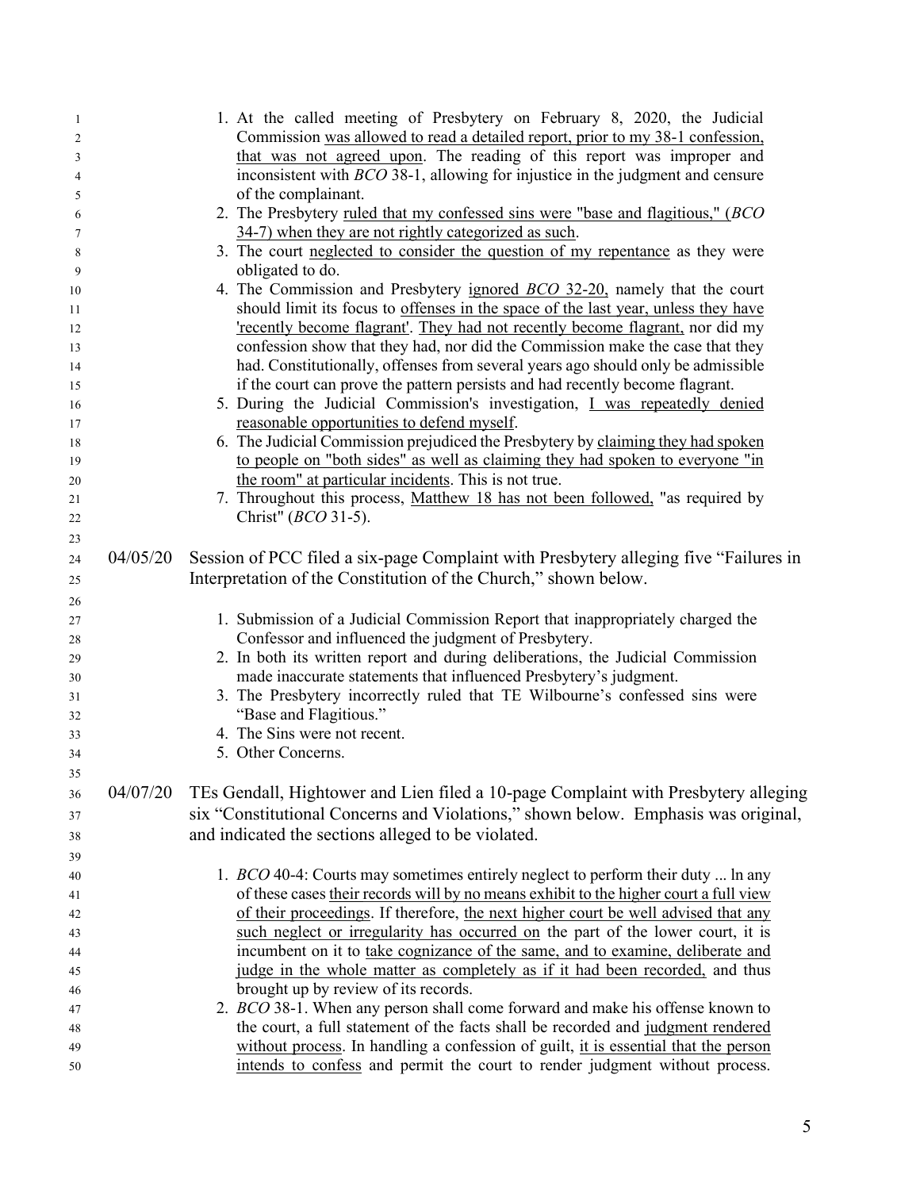|          | 1. At the called meeting of Presbytery on February 8, 2020, the Judicial              |
|----------|---------------------------------------------------------------------------------------|
|          | Commission was allowed to read a detailed report, prior to my 38-1 confession,        |
|          | that was not agreed upon. The reading of this report was improper and                 |
|          | inconsistent with $BCO$ 38-1, allowing for injustice in the judgment and censure      |
|          | of the complainant.                                                                   |
|          | 2. The Presbytery ruled that my confessed sins were "base and flagitious," (BCO       |
|          | 34-7) when they are not rightly categorized as such.                                  |
|          | 3. The court neglected to consider the question of my repentance as they were         |
|          | obligated to do.                                                                      |
|          | 4. The Commission and Presbytery ignored <i>BCO</i> 32-20, namely that the court      |
|          | should limit its focus to offenses in the space of the last year, unless they have    |
|          | 'recently become flagrant'. They had not recently become flagrant, nor did my         |
|          | confession show that they had, nor did the Commission make the case that they         |
|          | had. Constitutionally, offenses from several years ago should only be admissible      |
|          | if the court can prove the pattern persists and had recently become flagrant.         |
|          | 5. During the Judicial Commission's investigation, I was repeatedly denied            |
|          | reasonable opportunities to defend myself.                                            |
|          | 6. The Judicial Commission prejudiced the Presbytery by claiming they had spoken      |
|          | to people on "both sides" as well as claiming they had spoken to everyone "in         |
|          | the room" at particular incidents. This is not true.                                  |
|          | 7. Throughout this process, Matthew 18 has not been followed, "as required by         |
|          | Christ" ( <i>BCO</i> 31-5).                                                           |
|          |                                                                                       |
| 04/05/20 | Session of PCC filed a six-page Complaint with Presbytery alleging five "Failures in  |
|          | Interpretation of the Constitution of the Church," shown below.                       |
|          |                                                                                       |
|          | 1. Submission of a Judicial Commission Report that inappropriately charged the        |
|          | Confessor and influenced the judgment of Presbytery.                                  |
|          | 2. In both its written report and during deliberations, the Judicial Commission       |
|          | made inaccurate statements that influenced Presbytery's judgment.                     |
|          | 3. The Presbytery incorrectly ruled that TE Wilbourne's confessed sins were           |
|          | "Base and Flagitious."                                                                |
|          | 4. The Sins were not recent.                                                          |
|          | 5. Other Concerns.                                                                    |
|          |                                                                                       |
|          | TEs Gendall, Hightower and Lien filed a 10-page Complaint with Presbytery alleging    |
|          | six "Constitutional Concerns and Violations," shown below. Emphasis was original,     |
|          | and indicated the sections alleged to be violated.                                    |
|          |                                                                                       |
|          | 1. BCO 40-4: Courts may sometimes entirely neglect to perform their duty  ln any      |
|          | of these cases their records will by no means exhibit to the higher court a full view |
|          | of their proceedings. If therefore, the next higher court be well advised that any    |
|          | such neglect or irregularity has occurred on the part of the lower court, it is       |
|          | incumbent on it to take cognizance of the same, and to examine, deliberate and        |
|          | judge in the whole matter as completely as if it had been recorded, and thus          |
|          | brought up by review of its records.                                                  |
|          | 2. BCO 38-1. When any person shall come forward and make his offense known to         |
|          | the court, a full statement of the facts shall be recorded and judgment rendered      |
|          | without process. In handling a confession of guilt, it is essential that the person   |
|          | intends to confess and permit the court to render judgment without process.           |
|          | 04/07/20                                                                              |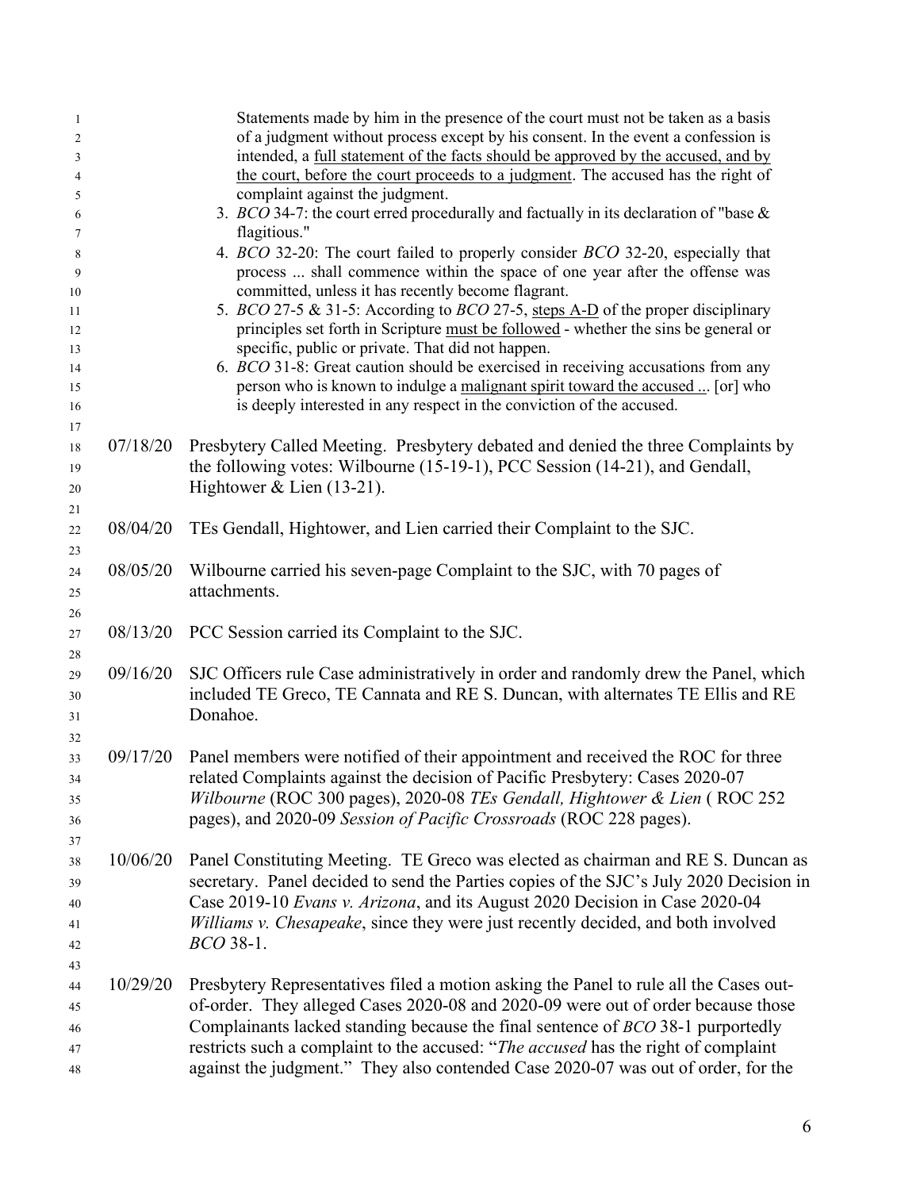| -1                  |          | Statements made by him in the presence of the court must not be taken as a basis                                                                                          |
|---------------------|----------|---------------------------------------------------------------------------------------------------------------------------------------------------------------------------|
| $\overline{c}$      |          | of a judgment without process except by his consent. In the event a confession is                                                                                         |
| 3                   |          | intended, a <u>full statement of the facts should be approved by the accused, and by</u>                                                                                  |
| $\overline{4}$<br>5 |          | the court, before the court proceeds to a judgment. The accused has the right of<br>complaint against the judgment.                                                       |
| 6                   |          | 3. BCO 34-7: the court erred procedurally and factually in its declaration of "base $\&$                                                                                  |
| 7                   |          | flagitious."                                                                                                                                                              |
| 8                   |          | 4. BCO 32-20: The court failed to properly consider BCO 32-20, especially that                                                                                            |
| 9                   |          | process  shall commence within the space of one year after the offense was                                                                                                |
| $10\,$              |          | committed, unless it has recently become flagrant.                                                                                                                        |
| 11                  |          | 5. BCO 27-5 & 31-5: According to BCO 27-5, steps A-D of the proper disciplinary                                                                                           |
| 12                  |          | principles set forth in Scripture must be followed - whether the sins be general or                                                                                       |
| 13<br>14            |          | specific, public or private. That did not happen.<br>6. BCO 31-8: Great caution should be exercised in receiving accusations from any                                     |
| 15                  |          | person who is known to indulge a malignant spirit toward the accused  [or] who                                                                                            |
| 16                  |          | is deeply interested in any respect in the conviction of the accused.                                                                                                     |
| 17                  |          |                                                                                                                                                                           |
| 18                  | 07/18/20 | Presbytery Called Meeting. Presbytery debated and denied the three Complaints by                                                                                          |
| 19                  |          | the following votes: Wilbourne (15-19-1), PCC Session (14-21), and Gendall,                                                                                               |
| 20                  |          | Hightower $&$ Lien (13-21).                                                                                                                                               |
| 21                  |          |                                                                                                                                                                           |
| 22                  | 08/04/20 | TEs Gendall, Hightower, and Lien carried their Complaint to the SJC.                                                                                                      |
| 23                  |          |                                                                                                                                                                           |
| 24                  | 08/05/20 | Wilbourne carried his seven-page Complaint to the SJC, with 70 pages of                                                                                                   |
| 25                  |          | attachments.                                                                                                                                                              |
| 26                  | 08/13/20 | PCC Session carried its Complaint to the SJC.                                                                                                                             |
| 27<br>28            |          |                                                                                                                                                                           |
| 29                  | 09/16/20 | SJC Officers rule Case administratively in order and randomly drew the Panel, which                                                                                       |
| 30                  |          | included TE Greco, TE Cannata and RE S. Duncan, with alternates TE Ellis and RE                                                                                           |
| 31                  |          | Donahoe.                                                                                                                                                                  |
| 32                  |          |                                                                                                                                                                           |
| 33                  | 09/17/20 | Panel members were notified of their appointment and received the ROC for three                                                                                           |
| 34                  |          | related Complaints against the decision of Pacific Presbytery: Cases 2020-07                                                                                              |
| 35                  |          | Wilbourne (ROC 300 pages), 2020-08 TEs Gendall, Hightower & Lien (ROC 252                                                                                                 |
| 36                  |          | pages), and 2020-09 Session of Pacific Crossroads (ROC 228 pages).                                                                                                        |
| 37                  |          |                                                                                                                                                                           |
| 38                  | 10/06/20 | Panel Constituting Meeting. TE Greco was elected as chairman and RE S. Duncan as                                                                                          |
| 39                  |          | secretary. Panel decided to send the Parties copies of the SJC's July 2020 Decision in                                                                                    |
| 40                  |          | Case 2019-10 Evans v. Arizona, and its August 2020 Decision in Case 2020-04                                                                                               |
| 41                  |          | Williams v. Chesapeake, since they were just recently decided, and both involved                                                                                          |
| 42                  |          | <i>BCO</i> 38-1.                                                                                                                                                          |
| 43                  | 10/29/20 |                                                                                                                                                                           |
| 44                  |          | Presbytery Representatives filed a motion asking the Panel to rule all the Cases out-<br>of-order. They alleged Cases 2020-08 and 2020-09 were out of order because those |
| 45<br>46            |          | Complainants lacked standing because the final sentence of <i>BCO</i> 38-1 purportedly                                                                                    |
| 47                  |          | restricts such a complaint to the accused: "The accused has the right of complaint                                                                                        |
| 48                  |          | against the judgment." They also contended Case 2020-07 was out of order, for the                                                                                         |
|                     |          |                                                                                                                                                                           |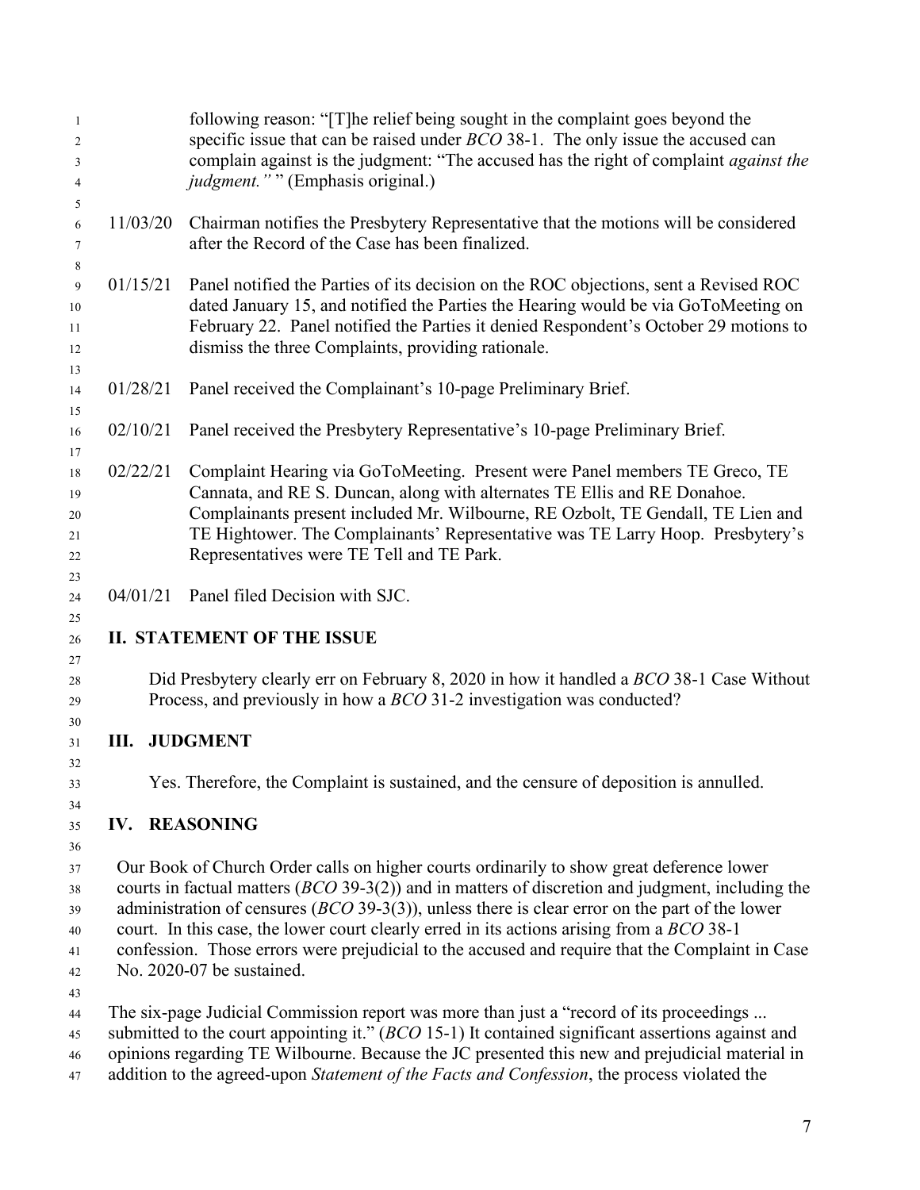| $\mathbf{1}$<br>2<br>3<br>4                  |                                                                                                                                                                                                                                                                                                                                                                                                                                                                                                                                  | following reason: "[T] he relief being sought in the complaint goes beyond the<br>specific issue that can be raised under <i>BCO</i> 38-1. The only issue the accused can<br>complain against is the judgment: "The accused has the right of complaint against the<br><i>judgment.</i> "" (Emphasis original.)                                                                                |  |
|----------------------------------------------|----------------------------------------------------------------------------------------------------------------------------------------------------------------------------------------------------------------------------------------------------------------------------------------------------------------------------------------------------------------------------------------------------------------------------------------------------------------------------------------------------------------------------------|-----------------------------------------------------------------------------------------------------------------------------------------------------------------------------------------------------------------------------------------------------------------------------------------------------------------------------------------------------------------------------------------------|--|
| 5<br>6<br>7<br>8                             | 11/03/20                                                                                                                                                                                                                                                                                                                                                                                                                                                                                                                         | Chairman notifies the Presbytery Representative that the motions will be considered<br>after the Record of the Case has been finalized.                                                                                                                                                                                                                                                       |  |
| 9<br>10<br>11<br>12                          | 01/15/21                                                                                                                                                                                                                                                                                                                                                                                                                                                                                                                         | Panel notified the Parties of its decision on the ROC objections, sent a Revised ROC<br>dated January 15, and notified the Parties the Hearing would be via GoToMeeting on<br>February 22. Panel notified the Parties it denied Respondent's October 29 motions to<br>dismiss the three Complaints, providing rationale.                                                                      |  |
| 13<br>14                                     | 01/28/21                                                                                                                                                                                                                                                                                                                                                                                                                                                                                                                         | Panel received the Complainant's 10-page Preliminary Brief.                                                                                                                                                                                                                                                                                                                                   |  |
| 15<br>16                                     | 02/10/21                                                                                                                                                                                                                                                                                                                                                                                                                                                                                                                         | Panel received the Presbytery Representative's 10-page Preliminary Brief.                                                                                                                                                                                                                                                                                                                     |  |
| 17<br>18<br>19<br>20<br>21<br>22             | 02/22/21                                                                                                                                                                                                                                                                                                                                                                                                                                                                                                                         | Complaint Hearing via GoToMeeting. Present were Panel members TE Greco, TE<br>Cannata, and RE S. Duncan, along with alternates TE Ellis and RE Donahoe.<br>Complainants present included Mr. Wilbourne, RE Ozbolt, TE Gendall, TE Lien and<br>TE Hightower. The Complainants' Representative was TE Larry Hoop. Presbytery's<br>Representatives were TE Tell and TE Park.                     |  |
| 23<br>24                                     | 04/01/21                                                                                                                                                                                                                                                                                                                                                                                                                                                                                                                         | Panel filed Decision with SJC.                                                                                                                                                                                                                                                                                                                                                                |  |
| 25<br>26                                     |                                                                                                                                                                                                                                                                                                                                                                                                                                                                                                                                  | <b>II. STATEMENT OF THE ISSUE</b>                                                                                                                                                                                                                                                                                                                                                             |  |
| 27<br>28<br>29                               |                                                                                                                                                                                                                                                                                                                                                                                                                                                                                                                                  | Did Presbytery clearly err on February 8, 2020 in how it handled a BCO 38-1 Case Without<br>Process, and previously in how a <i>BCO</i> 31-2 investigation was conducted?                                                                                                                                                                                                                     |  |
| 30<br>31                                     | <b>III. JUDGMENT</b>                                                                                                                                                                                                                                                                                                                                                                                                                                                                                                             |                                                                                                                                                                                                                                                                                                                                                                                               |  |
| 32<br>33<br>34                               |                                                                                                                                                                                                                                                                                                                                                                                                                                                                                                                                  | Yes. Therefore, the Complaint is sustained, and the censure of deposition is annulled.                                                                                                                                                                                                                                                                                                        |  |
| 35                                           | <b>IV. REASONING</b>                                                                                                                                                                                                                                                                                                                                                                                                                                                                                                             |                                                                                                                                                                                                                                                                                                                                                                                               |  |
| 36<br>37<br>38<br>39<br>40<br>41<br>42<br>43 | Our Book of Church Order calls on higher courts ordinarily to show great deference lower<br>courts in factual matters $(BCO 39-3(2))$ and in matters of discretion and judgment, including the<br>administration of censures $(BCO 39-3(3))$ , unless there is clear error on the part of the lower<br>court. In this case, the lower court clearly erred in its actions arising from a BCO 38-1<br>confession. Those errors were prejudicial to the accused and require that the Complaint in Case<br>No. 2020-07 be sustained. |                                                                                                                                                                                                                                                                                                                                                                                               |  |
| 44<br>45<br>46<br>47                         |                                                                                                                                                                                                                                                                                                                                                                                                                                                                                                                                  | The six-page Judicial Commission report was more than just a "record of its proceedings<br>submitted to the court appointing it." (BCO 15-1) It contained significant assertions against and<br>opinions regarding TE Wilbourne. Because the JC presented this new and prejudicial material in<br>addition to the agreed-upon Statement of the Facts and Confession, the process violated the |  |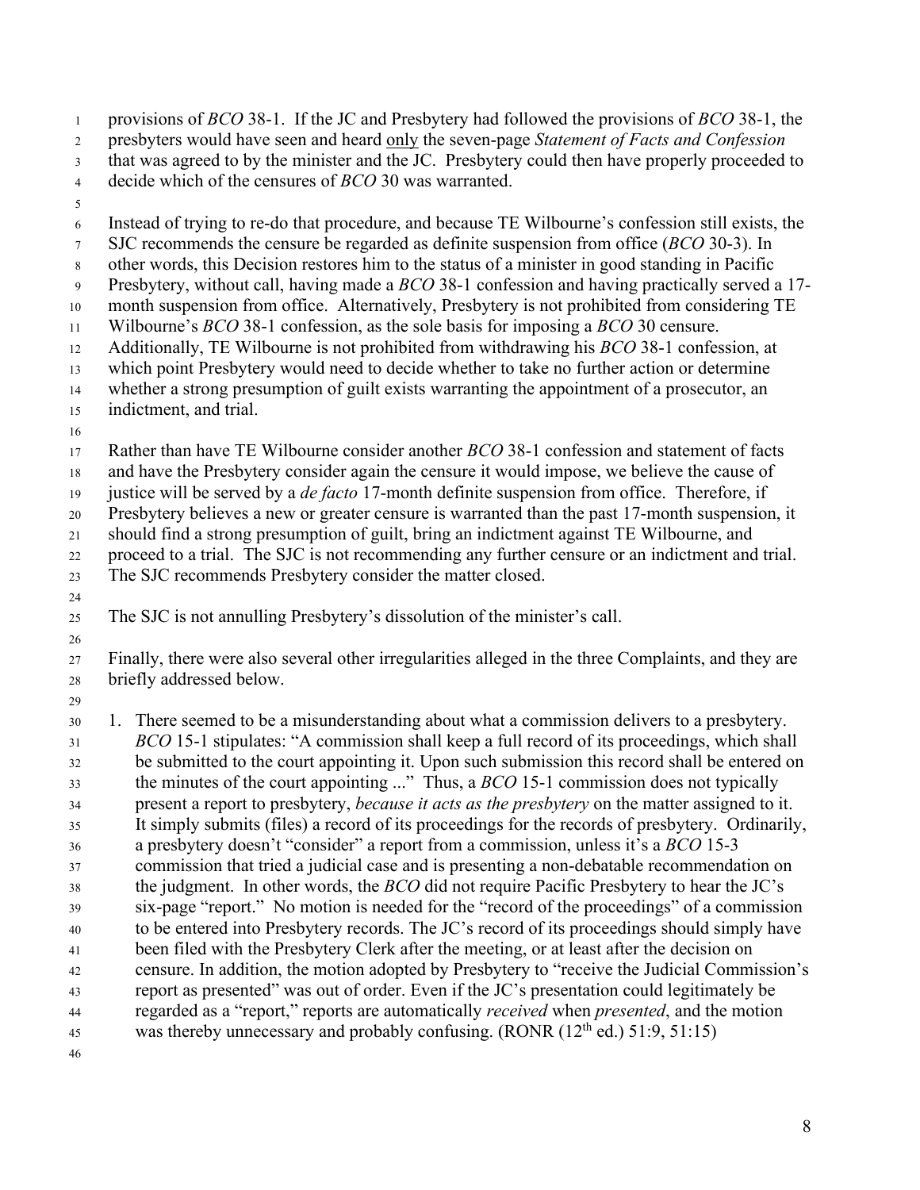provisions of *BCO* 38-1. If the JC and Presbytery had followed the provisions of *BCO* 38-1, the presbyters would have seen and heard only the seven-page *Statement of Facts and Confession* that was agreed to by the minister and the JC. Presbytery could then have properly proceeded to decide which of the censures of *BCO* 30 was warranted. Instead of trying to re-do that procedure, and because TE Wilbourne's confession still exists, the SJC recommends the censure be regarded as definite suspension from office (*BCO* 30-3). In other words, this Decision restores him to the status of a minister in good standing in Pacific Presbytery, without call, having made a *BCO* 38-1 confession and having practically served a 17- month suspension from office. Alternatively, Presbytery is not prohibited from considering TE Wilbourne's *BCO* 38-1 confession, as the sole basis for imposing a *BCO* 30 censure. Additionally, TE Wilbourne is not prohibited from withdrawing his *BCO* 38-1 confession, at which point Presbytery would need to decide whether to take no further action or determine whether a strong presumption of guilt exists warranting the appointment of a prosecutor, an indictment, and trial. Rather than have TE Wilbourne consider another *BCO* 38-1 confession and statement of facts and have the Presbytery consider again the censure it would impose, we believe the cause of justice will be served by a *de facto* 17-month definite suspension from office. Therefore, if Presbytery believes a new or greater censure is warranted than the past 17-month suspension, it should find a strong presumption of guilt, bring an indictment against TE Wilbourne, and proceed to a trial. The SJC is not recommending any further censure or an indictment and trial. The SJC recommends Presbytery consider the matter closed. 

The SJC is not annulling Presbytery's dissolution of the minister's call.

 Finally, there were also several other irregularities alleged in the three Complaints, and they are briefly addressed below.

 1. There seemed to be a misunderstanding about what a commission delivers to a presbytery. *BCO* 15-1 stipulates: "A commission shall keep a full record of its proceedings, which shall be submitted to the court appointing it. Upon such submission this record shall be entered on the minutes of the court appointing ..." Thus, a *BCO* 15-1 commission does not typically present a report to presbytery, *because it acts as the presbytery* on the matter assigned to it. It simply submits (files) a record of its proceedings for the records of presbytery. Ordinarily, a presbytery doesn't "consider" a report from a commission, unless it's a *BCO* 15-3 commission that tried a judicial case and is presenting a non-debatable recommendation on the judgment. In other words, the *BCO* did not require Pacific Presbytery to hear the JC's six-page "report." No motion is needed for the "record of the proceedings" of a commission to be entered into Presbytery records. The JC's record of its proceedings should simply have been filed with the Presbytery Clerk after the meeting, or at least after the decision on censure. In addition, the motion adopted by Presbytery to "receive the Judicial Commission's report as presented" was out of order. Even if the JC's presentation could legitimately be regarded as a "report," reports are automatically *received* when *presented*, and the motion was thereby unnecessary and probably confusing.  $(RONR (12<sup>th</sup> ed.) 51:9, 51:15)$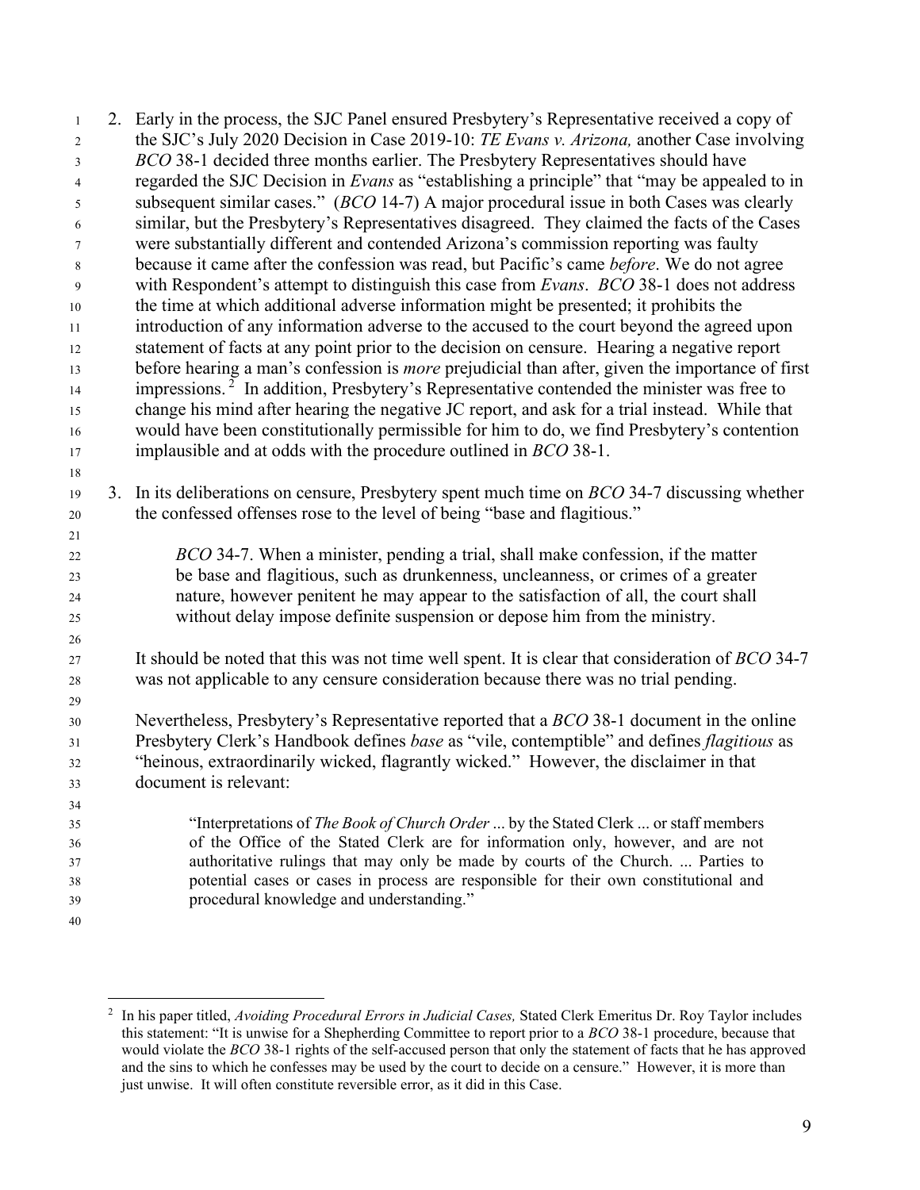2. Early in the process, the SJC Panel ensured Presbytery's Representative received a copy of the SJC's July 2020 Decision in Case 2019-10: *TE Evans v. Arizona,* another Case involving *BCO* 38-1 decided three months earlier. The Presbytery Representatives should have regarded the SJC Decision in *Evans* as "establishing a principle" that "may be appealed to in subsequent similar cases." (*BCO* 14-7) A major procedural issue in both Cases was clearly similar, but the Presbytery's Representatives disagreed. They claimed the facts of the Cases were substantially different and contended Arizona's commission reporting was faulty because it came after the confession was read, but Pacific's came *before*. We do not agree with Respondent's attempt to distinguish this case from *Evans*. *BCO* 38-1 does not address the time at which additional adverse information might be presented; it prohibits the introduction of any information adverse to the accused to the court beyond the agreed upon statement of facts at any point prior to the decision on censure. Hearing a negative report before hearing a man's confession is *more* prejudicial than after, given the importance of first  $\mu$ <sup>14</sup> impressions.<sup>2</sup> In addition, Presbytery's Representative contended the minister was free to change his mind after hearing the negative JC report, and ask for a trial instead. While that would have been constitutionally permissible for him to do, we find Presbytery's contention implausible and at odds with the procedure outlined in *BCO* 38-1. 3. In its deliberations on censure, Presbytery spent much time on *BCO* 34-7 discussing whether the confessed offenses rose to the level of being "base and flagitious." *BCO* 34-7. When a minister, pending a trial, shall make confession, if the matter be base and flagitious, such as drunkenness, uncleanness, or crimes of a greater nature, however penitent he may appear to the satisfaction of all, the court shall without delay impose definite suspension or depose him from the ministry. It should be noted that this was not time well spent. It is clear that consideration of *BCO* 34-7 was not applicable to any censure consideration because there was no trial pending. Nevertheless, Presbytery's Representative reported that a *BCO* 38-1 document in the online Presbytery Clerk's Handbook defines *base* as "vile, contemptible" and defines *flagitious* as "heinous, extraordinarily wicked, flagrantly wicked." However, the disclaimer in that document is relevant: "Interpretations of *The Book of Church Order* ... by the Stated Clerk ... or staff members of the Office of the Stated Clerk are for information only, however, and are not authoritative rulings that may only be made by courts of the Church. ... Parties to potential cases or cases in process are responsible for their own constitutional and procedural knowledge and understanding." 

 In his paper titled, *Avoiding Procedural Errors in Judicial Cases,* Stated Clerk Emeritus Dr. Roy Taylor includes this statement: "It is unwise for a Shepherding Committee to report prior to a *BCO* 38-1 procedure, because that would violate the *BCO* 38-1 rights of the self-accused person that only the statement of facts that he has approved and the sins to which he confesses may be used by the court to decide on a censure." However, it is more than just unwise. It will often constitute reversible error, as it did in this Case.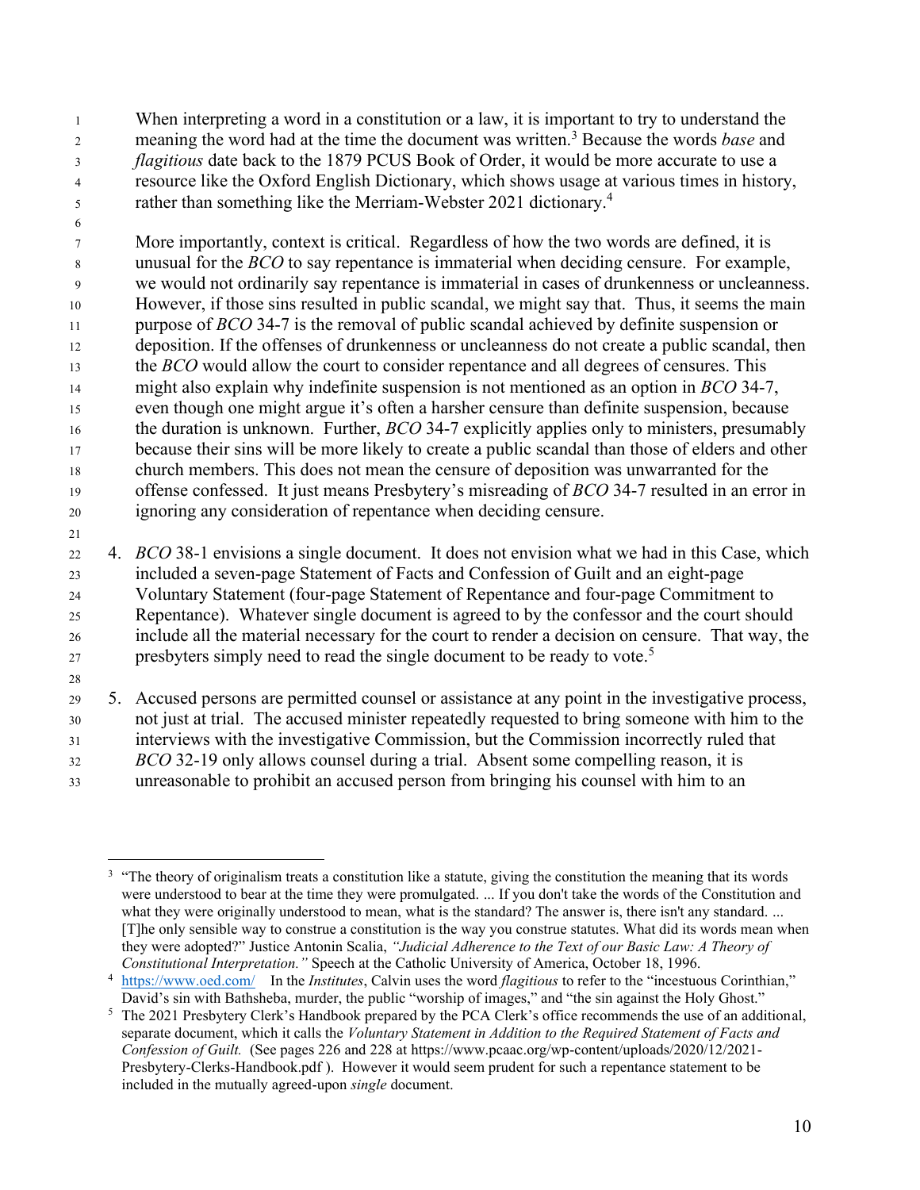When interpreting a word in a constitution or a law, it is important to try to understand the meaning the word had at the time the document was written.<sup>3</sup> Because the words *base* and *flagitious* date back to the 1879 PCUS Book of Order, it would be more accurate to use a resource like the Oxford English Dictionary, which shows usage at various times in history, rather than something like the Merriam-Webster 2021 dictionary.<sup>4</sup>

 More importantly, context is critical. Regardless of how the two words are defined, it is unusual for the *BCO* to say repentance is immaterial when deciding censure. For example, we would not ordinarily say repentance is immaterial in cases of drunkenness or uncleanness. However, if those sins resulted in public scandal, we might say that. Thus, it seems the main purpose of *BCO* 34-7 is the removal of public scandal achieved by definite suspension or deposition. If the offenses of drunkenness or uncleanness do not create a public scandal, then the *BCO* would allow the court to consider repentance and all degrees of censures. This might also explain why indefinite suspension is not mentioned as an option in *BCO* 34-7, even though one might argue it's often a harsher censure than definite suspension, because the duration is unknown. Further, *BCO* 34-7 explicitly applies only to ministers, presumably 17 because their sins will be more likely to create a public scandal than those of elders and other church members. This does not mean the censure of deposition was unwarranted for the offense confessed. It just means Presbytery's misreading of *BCO* 34-7 resulted in an error in ignoring any consideration of repentance when deciding censure.

 4. *BCO* 38-1 envisions a single document. It does not envision what we had in this Case, which included a seven-page Statement of Facts and Confession of Guilt and an eight-page Voluntary Statement (four-page Statement of Repentance and four-page Commitment to Repentance). Whatever single document is agreed to by the confessor and the court should include all the material necessary for the court to render a decision on censure. That way, the presbyters simply need to read the single document to be ready to vote.<sup>5</sup>

 5. Accused persons are permitted counsel or assistance at any point in the investigative process, not just at trial. The accused minister repeatedly requested to bring someone with him to the interviews with the investigative Commission, but the Commission incorrectly ruled that *BCO* 32-19 only allows counsel during a trial. Absent some compelling reason, it is unreasonable to prohibit an accused person from bringing his counsel with him to an

 "The theory of originalism treats a constitution like a statute, giving the constitution the meaning that its words were understood to bear at the time they were promulgated. ... If you don't take the words of the Constitution and what they were originally understood to mean, what is the standard? The answer is, there isn't any standard. ... [T]he only sensible way to construe a constitution is the way you construe statutes. What did its words mean when they were adopted?" Justice Antonin Scalia, *"Judicial Adherence to the Text of our Basic Law: A Theory of Constitutional Interpretation."* Speech at the Catholic University of America, October 18, 1996.

 https://www.oed.com/ In the *Institutes*, Calvin uses the word *flagitious* to refer to the "incestuous Corinthian," David's sin with Bathsheba, murder, the public "worship of images," and "the sin against the Holy Ghost."

 The 2021 Presbytery Clerk's Handbook prepared by the PCA Clerk's office recommends the use of an additional, separate document, which it calls the *Voluntary Statement in Addition to the Required Statement of Facts and Confession of Guilt.* (See pages 226 and 228 at https://www.pcaac.org/wp-content/uploads/2020/12/2021- Presbytery-Clerks-Handbook.pdf ). However it would seem prudent for such a repentance statement to be included in the mutually agreed-upon *single* document.